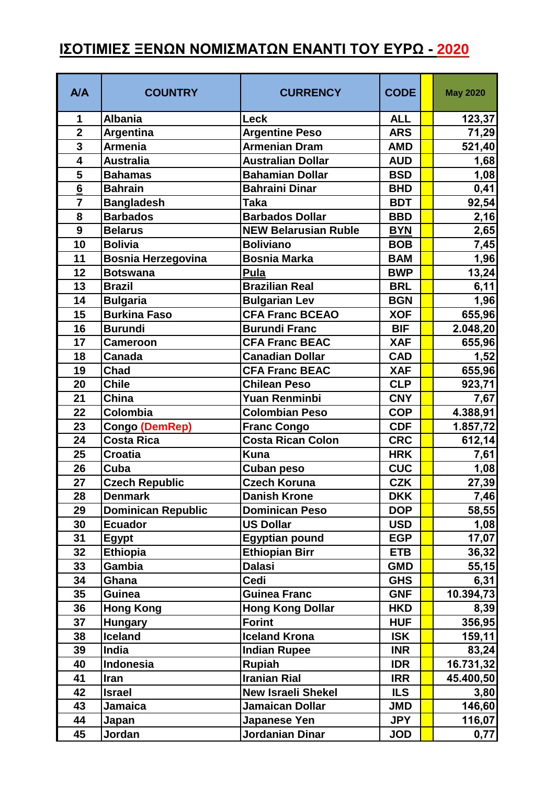## **ΙΣΟΤΙΜΙΕΣ ΞΕΝΩΝ ΝΟΜΙΣΜΑΤΩΝ ΕΝΑΝΤΙ ΤΟΥ ΕΥΡΩ - 2020**

| A/A                     | <b>COUNTRY</b>            | <b>CURRENCY</b>             | <b>CODE</b> | <b>May 2020</b> |
|-------------------------|---------------------------|-----------------------------|-------------|-----------------|
| 1                       | <b>Albania</b>            | Leck                        | <b>ALL</b>  | 123,37          |
| $\overline{2}$          | Argentina                 | <b>Argentine Peso</b>       | <b>ARS</b>  | 71,29           |
| 3                       | <b>Armenia</b>            | <b>Armenian Dram</b>        | <b>AMD</b>  | 521,40          |
| $\overline{\mathbf{4}}$ | <b>Australia</b>          | <b>Australian Dollar</b>    | <b>AUD</b>  | 1,68            |
| 5                       | <b>Bahamas</b>            | <b>Bahamian Dollar</b>      | <b>BSD</b>  | 1,08            |
| $6\overline{6}$         | <b>Bahrain</b>            | <b>Bahraini Dinar</b>       | <b>BHD</b>  | 0,41            |
| $\overline{7}$          | <b>Bangladesh</b>         | <b>Taka</b>                 | <b>BDT</b>  | 92,54           |
| 8                       | <b>Barbados</b>           | <b>Barbados Dollar</b>      | <b>BBD</b>  | 2,16            |
| 9                       | <b>Belarus</b>            | <b>NEW Belarusian Ruble</b> | <b>BYN</b>  | 2,65            |
| 10                      | <b>Bolivia</b>            | <b>Boliviano</b>            | <b>BOB</b>  | 7,45            |
| 11                      | <b>Bosnia Herzegovina</b> | <b>Bosnia Marka</b>         | <b>BAM</b>  | 1,96            |
| 12                      | <b>Botswana</b>           | Pula                        | <b>BWP</b>  | 13,24           |
| 13                      | <b>Brazil</b>             | <b>Brazilian Real</b>       | <b>BRL</b>  | 6,11            |
| 14                      | <b>Bulgaria</b>           | <b>Bulgarian Lev</b>        | <b>BGN</b>  | 1,96            |
| 15                      | <b>Burkina Faso</b>       | <b>CFA Franc BCEAO</b>      | <b>XOF</b>  | 655,96          |
| 16                      | <b>Burundi</b>            | <b>Burundi Franc</b>        | <b>BIF</b>  | 2.048,20        |
| 17                      | <b>Cameroon</b>           | <b>CFA Franc BEAC</b>       | <b>XAF</b>  | 655,96          |
| 18                      | <b>Canada</b>             | <b>Canadian Dollar</b>      | <b>CAD</b>  | 1,52            |
| 19                      | Chad                      | <b>CFA Franc BEAC</b>       | <b>XAF</b>  | 655,96          |
| 20                      | <b>Chile</b>              | <b>Chilean Peso</b>         | <b>CLP</b>  | 923,71          |
| 21                      | China                     | <b>Yuan Renminbi</b>        | <b>CNY</b>  | 7,67            |
| 22                      | Colombia                  | <b>Colombian Peso</b>       | <b>COP</b>  | 4.388,91        |
| 23                      | Congo (DemRep)            | <b>Franc Congo</b>          | <b>CDF</b>  | 1.857,72        |
| 24                      | <b>Costa Rica</b>         | <b>Costa Rican Colon</b>    | <b>CRC</b>  | 612,14          |
| 25                      | <b>Croatia</b>            | <b>Kuna</b>                 | <b>HRK</b>  | 7,61            |
| 26                      | Cuba                      | <b>Cuban peso</b>           | <b>CUC</b>  | 1,08            |
| 27                      | <b>Czech Republic</b>     | <b>Czech Koruna</b>         | <b>CZK</b>  | 27,39           |
| 28                      | <b>Denmark</b>            | <b>Danish Krone</b>         | <b>DKK</b>  | 7,46            |
| 29                      | <b>Dominican Republic</b> | <b>Dominican Peso</b>       | <b>DOP</b>  | 58,55           |
| 30                      | <b>Ecuador</b>            | <b>US Dollar</b>            | <b>USD</b>  | 1,08            |
| 31                      | <b>Egypt</b>              | <b>Egyptian pound</b>       | <b>EGP</b>  | 17,07           |
| 32                      | <b>Ethiopia</b>           | <b>Ethiopian Birr</b>       | <b>ETB</b>  | 36,32           |
| 33                      | Gambia                    | <b>Dalasi</b>               | <b>GMD</b>  | 55,15           |
| 34                      | Ghana                     | Cedi                        | <b>GHS</b>  | 6,31            |
| 35                      | Guinea                    | <b>Guinea Franc</b>         | <b>GNF</b>  | 10.394,73       |
| 36                      | <b>Hong Kong</b>          | <b>Hong Kong Dollar</b>     | <b>HKD</b>  | 8,39            |
| 37                      | <b>Hungary</b>            | <b>Forint</b>               | <b>HUF</b>  | 356,95          |
| 38                      | <b>Iceland</b>            | <b>Iceland Krona</b>        | <b>ISK</b>  | 159,11          |
| 39                      | India                     | <b>Indian Rupee</b>         | <b>INR</b>  | 83,24           |
| 40                      | Indonesia                 | <b>Rupiah</b>               | <b>IDR</b>  | 16.731,32       |
| 41                      | Iran                      | <b>Iranian Rial</b>         | <b>IRR</b>  | 45.400,50       |
| 42                      | <b>Israel</b>             | <b>New Israeli Shekel</b>   | <b>ILS</b>  | 3,80            |
| 43                      | <b>Jamaica</b>            | <b>Jamaican Dollar</b>      | <b>JMD</b>  | 146,60          |
| 44                      | Japan                     | Japanese Yen                | <b>JPY</b>  | 116,07          |
| 45                      | Jordan                    | Jordanian Dinar             | <b>JOD</b>  | 0,77            |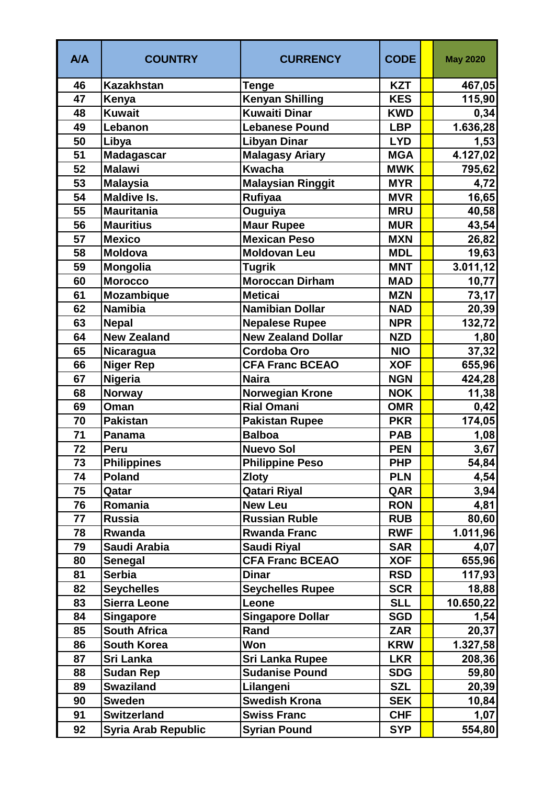| A/A | <b>COUNTRY</b>             | <b>CURRENCY</b>           | <b>CODE</b> | <b>May 2020</b> |
|-----|----------------------------|---------------------------|-------------|-----------------|
| 46  | <b>Kazakhstan</b>          | <b>Tenge</b>              | <b>KZT</b>  | 467,05          |
| 47  | Kenya                      | <b>Kenyan Shilling</b>    | <b>KES</b>  | 115,90          |
| 48  | <b>Kuwait</b>              | <b>Kuwaiti Dinar</b>      | <b>KWD</b>  | 0,34            |
| 49  | Lebanon                    | <b>Lebanese Pound</b>     | <b>LBP</b>  | 1.636,28        |
| 50  | Libya                      | <b>Libyan Dinar</b>       | <b>LYD</b>  | 1,53            |
| 51  | <b>Madagascar</b>          | <b>Malagasy Ariary</b>    | <b>MGA</b>  | 4.127,02        |
| 52  | <b>Malawi</b>              | <b>Kwacha</b>             | <b>MWK</b>  | 795,62          |
| 53  | <b>Malaysia</b>            | <b>Malaysian Ringgit</b>  | <b>MYR</b>  | 4,72            |
| 54  | <b>Maldive Is.</b>         | <b>Rufiyaa</b>            | <b>MVR</b>  | 16,65           |
| 55  | <b>Mauritania</b>          | Ouguiya                   | <b>MRU</b>  | 40,58           |
| 56  | <b>Mauritius</b>           | <b>Maur Rupee</b>         | <b>MUR</b>  | 43,54           |
| 57  | <b>Mexico</b>              | <b>Mexican Peso</b>       | <b>MXN</b>  | 26,82           |
| 58  | <b>Moldova</b>             | <b>Moldovan Leu</b>       | <b>MDL</b>  | 19,63           |
| 59  | Mongolia                   | <b>Tugrik</b>             | <b>MNT</b>  | 3.011, 12       |
| 60  | <b>Morocco</b>             | <b>Moroccan Dirham</b>    | <b>MAD</b>  | 10,77           |
| 61  | Mozambique                 | <b>Meticai</b>            | <b>MZN</b>  | 73,17           |
| 62  | <b>Namibia</b>             | <b>Namibian Dollar</b>    | <b>NAD</b>  | 20,39           |
| 63  | <b>Nepal</b>               | <b>Nepalese Rupee</b>     | <b>NPR</b>  | 132,72          |
| 64  | <b>New Zealand</b>         | <b>New Zealand Dollar</b> | <b>NZD</b>  | 1,80            |
| 65  | Nicaragua                  | <b>Cordoba Oro</b>        | <b>NIO</b>  | 37,32           |
| 66  | <b>Niger Rep</b>           | <b>CFA Franc BCEAO</b>    | <b>XOF</b>  | 655,96          |
| 67  | <b>Nigeria</b>             | <b>Naira</b>              | <b>NGN</b>  | 424,28          |
| 68  | Norway                     | <b>Norwegian Krone</b>    | <b>NOK</b>  | 11,38           |
| 69  | Oman                       | <b>Rial Omani</b>         | <b>OMR</b>  | 0,42            |
| 70  | <b>Pakistan</b>            | <b>Pakistan Rupee</b>     | <b>PKR</b>  | 174,05          |
| 71  | Panama                     | <b>Balboa</b>             | <b>PAB</b>  | 1,08            |
| 72  | Peru                       | <b>Nuevo Sol</b>          | <b>PEN</b>  | 3,67            |
| 73  | <b>Philippines</b>         | <b>Philippine Peso</b>    | <b>PHP</b>  | 54,84           |
| 74  | <b>Poland</b>              | <b>Zloty</b>              | <b>PLN</b>  | 4,54            |
| 75  | Qatar                      | Qatari Riyal              | QAR         | 3,94            |
| 76  | Romania                    | <b>New Leu</b>            | <b>RON</b>  | 4,81            |
| 77  | <b>Russia</b>              | <b>Russian Ruble</b>      | <b>RUB</b>  | 80,60           |
| 78  | Rwanda                     | <b>Rwanda Franc</b>       | <b>RWF</b>  | 1.011,96        |
| 79  | Saudi Arabia               | Saudi Riyal               | <b>SAR</b>  | 4,07            |
| 80  | Senegal                    | <b>CFA Franc BCEAO</b>    | <b>XOF</b>  | 655,96          |
| 81  | <b>Serbia</b>              | <b>Dinar</b>              | <b>RSD</b>  | 117,93          |
| 82  | <b>Seychelles</b>          | <b>Seychelles Rupee</b>   | <b>SCR</b>  | 18,88           |
| 83  | <b>Sierra Leone</b>        | Leone                     | <b>SLL</b>  | 10.650,22       |
| 84  | <b>Singapore</b>           | <b>Singapore Dollar</b>   | <b>SGD</b>  | 1,54            |
| 85  | <b>South Africa</b>        | Rand                      | <b>ZAR</b>  | 20,37           |
| 86  | <b>South Korea</b>         | Won                       | <b>KRW</b>  | 1.327,58        |
| 87  | Sri Lanka                  | <b>Sri Lanka Rupee</b>    | <b>LKR</b>  | 208,36          |
| 88  | <b>Sudan Rep</b>           | <b>Sudanise Pound</b>     | <b>SDG</b>  | 59,80           |
| 89  | <b>Swaziland</b>           | Lilangeni                 | <b>SZL</b>  | 20,39           |
| 90  | <b>Sweden</b>              | <b>Swedish Krona</b>      | <b>SEK</b>  | 10,84           |
| 91  | <b>Switzerland</b>         | <b>Swiss Franc</b>        | <b>CHF</b>  | 1,07            |
| 92  | <b>Syria Arab Republic</b> | <b>Syrian Pound</b>       | <b>SYP</b>  | 554,80          |